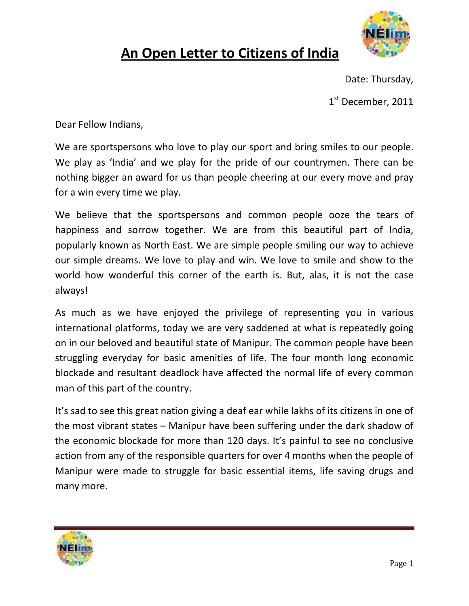

## **An Open Letter to Citizens of India**

Date: Thursday,

1<sup>st</sup> December, 2011

Dear Fellow Indians,

We are sportspersons who love to play our sport and bring smiles to our people. We play as 'India' and we play for the pride of our countrymen. There can be nothing bigger an award for us than people cheering at our every move and pray for a win every time we play.

We believe that the sportspersons and common people ooze the tears of happiness and sorrow together. We are from this beautiful part of India, popularly known as North East. We are simple people smiling our way to achieve our simple dreams. We love to play and win. We love to smile and show to the world how wonderful this corner of the earth is. But, alas, it is not the case always!

As much as we have enjoyed the privilege of representing you in various international platforms, today we are very saddened at what is repeatedly going on in our beloved and beautiful state of Manipur. The common people have been struggling everyday for basic amenities of life. The four month long economic blockade and resultant deadlock have affected the normal life of every common man of this part of the country.

It's sad to see this great nation giving a deaf ear while lakhs of its citizens in one of the most vibrant states – Manipur have been suffering under the dark shadow of the economic blockade for more than 120 days. It's painful to see no conclusive action from any of the responsible quarters for over 4 months when the people of Manipur were made to struggle for basic essential items, life saving drugs and many more.

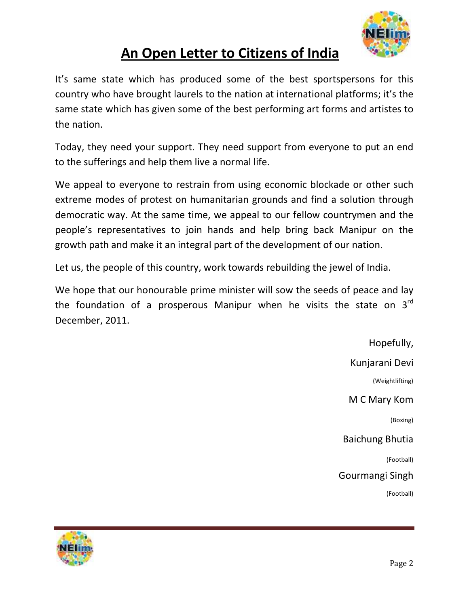

## **An Open Letter to Citizens of India**

It's same state which has produced some of the best sportspersons for this country who have brought laurels to the nation at international platforms; it's the same state which has given some of the best performing art forms and artistes to the nation.

Today, they need your support. They need support from everyone to put an end to the sufferings and help them live a normal life.

We appeal to everyone to restrain from using economic blockade or other such extreme modes of protest on humanitarian grounds and find a solution through democratic way. At the same time, we appeal to our fellow countrymen and the people's representatives to join hands and help bring back Manipur on the growth path and make it an integral part of the development of our nation.

Let us, the people of this country, work towards rebuilding the jewel of India.

We hope that our honourable prime minister will sow the seeds of peace and lay the foundation of a prosperous Manipur when he visits the state on  $3<sup>rd</sup>$ December, 2011.

> Hopefully, Kunjarani Devi (Weightlifting) M C Mary Kom (Boxing) Baichung Bhutia (Football) Gourmangi Singh (Football)